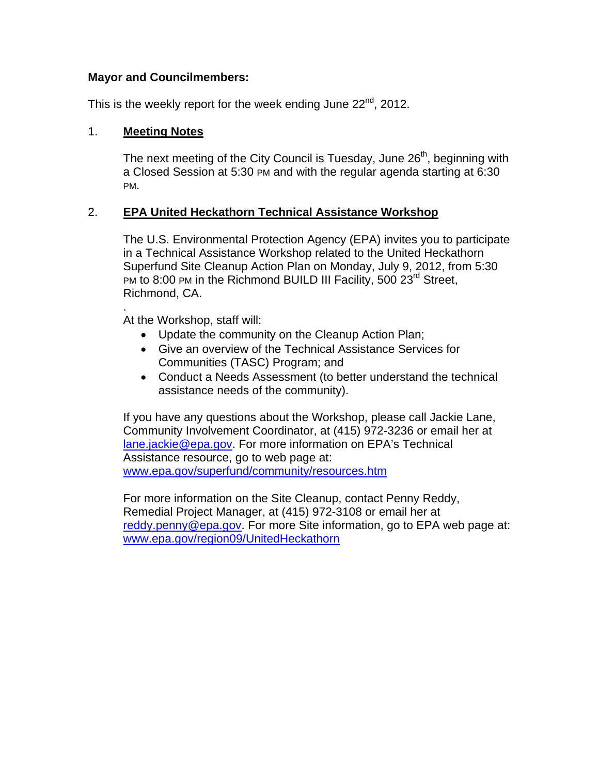### **Mayor and Councilmembers:**

This is the weekly report for the week ending June  $22^{nd}$ , 2012.

### 1. **Meeting Notes**

The next meeting of the City Council is Tuesday, June 26<sup>th</sup>, beginning with a Closed Session at 5:30 PM and with the regular agenda starting at 6:30 PM.

# 2. **EPA United Heckathorn Technical Assistance Workshop**

The U.S. Environmental Protection Agency (EPA) invites you to participate in a Technical Assistance Workshop related to the United Heckathorn Superfund Site Cleanup Action Plan on Monday, July 9, 2012, from 5:30 PM to 8:00 PM in the Richmond BUILD III Facility, 500 23<sup>rd</sup> Street, Richmond, CA.

. At the Workshop, staff will:

- Update the community on the Cleanup Action Plan;
- Give an overview of the Technical Assistance Services for Communities (TASC) Program; and
- Conduct a Needs Assessment (to better understand the technical assistance needs of the community).

If you have any questions about the Workshop, please call Jackie Lane, Community Involvement Coordinator, at (415) 972-3236 or email her at lane.jackie@epa.gov. For more information on EPA's Technical Assistance resource, go to web page at: www.epa.gov/superfund/community/resources.htm

For more information on the Site Cleanup, contact Penny Reddy, Remedial Project Manager, at (415) 972-3108 or email her at reddy.penny@epa.gov. For more Site information, go to EPA web page at: www.epa.gov/region09/UnitedHeckathorn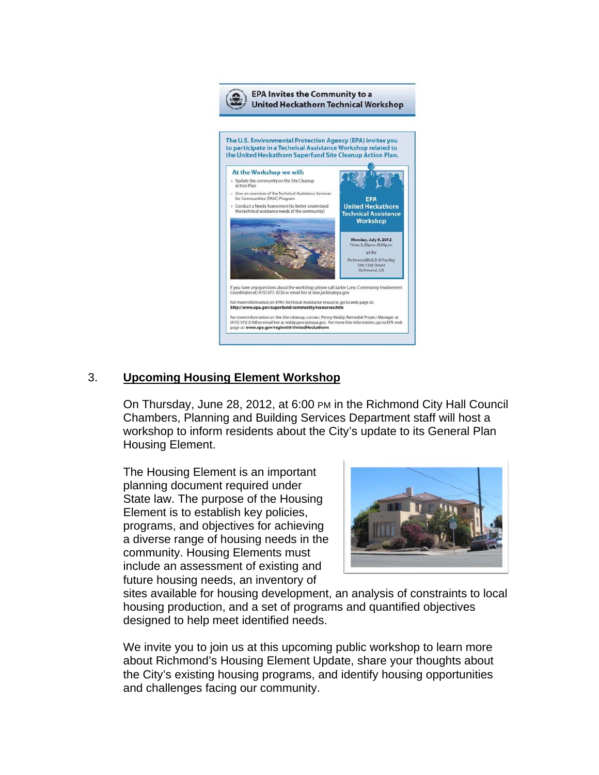

# 3. **Upcoming Housing Element Workshop**

On Thursday, June 28, 2012, at 6:00 PM in the Richmond City Hall Council Chambers, Planning and Building Services Department staff will host a workshop to inform residents about the City's update to its General Plan Housing Element.

The Housing Element is an important planning document required under State law. The purpose of the Housing Element is to establish key policies, programs, and objectives for achieving a diverse range of housing needs in the community. Housing Elements must include an assessment of existing and future housing needs, an inventory of



sites available for housing development, an analysis of constraints to local housing production, and a set of programs and quantified objectives designed to help meet identified needs.

We invite you to join us at this upcoming public workshop to learn more about Richmond's Housing Element Update, share your thoughts about the City's existing housing programs, and identify housing opportunities and challenges facing our community.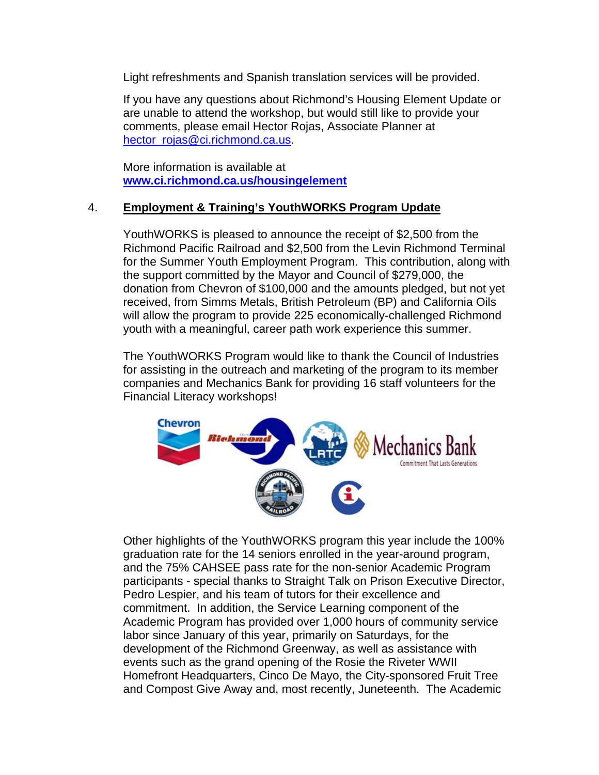Light refreshments and Spanish translation services will be provided.

If you have any questions about Richmond's Housing Element Update or are unable to attend the workshop, but would still like to provide your comments, please email Hector Rojas, Associate Planner at hector\_rojas@ci.richmond.ca.us.

More information is available at **www.ci.richmond.ca.us/housingelement**

#### 4. **Employment & Training's YouthWORKS Program Update**

YouthWORKS is pleased to announce the receipt of \$2,500 from the Richmond Pacific Railroad and \$2,500 from the Levin Richmond Terminal for the Summer Youth Employment Program. This contribution, along with the support committed by the Mayor and Council of \$279,000, the donation from Chevron of \$100,000 and the amounts pledged, but not yet received, from Simms Metals, British Petroleum (BP) and California Oils will allow the program to provide 225 economically-challenged Richmond youth with a meaningful, career path work experience this summer.

The YouthWORKS Program would like to thank the Council of Industries for assisting in the outreach and marketing of the program to its member companies and Mechanics Bank for providing 16 staff volunteers for the Financial Literacy workshops!



Other highlights of the YouthWORKS program this year include the 100% graduation rate for the 14 seniors enrolled in the year-around program, and the 75% CAHSEE pass rate for the non-senior Academic Program participants - special thanks to Straight Talk on Prison Executive Director, Pedro Lespier, and his team of tutors for their excellence and commitment. In addition, the Service Learning component of the Academic Program has provided over 1,000 hours of community service labor since January of this year, primarily on Saturdays, for the development of the Richmond Greenway, as well as assistance with events such as the grand opening of the Rosie the Riveter WWII Homefront Headquarters, Cinco De Mayo, the City-sponsored Fruit Tree and Compost Give Away and, most recently, Juneteenth. The Academic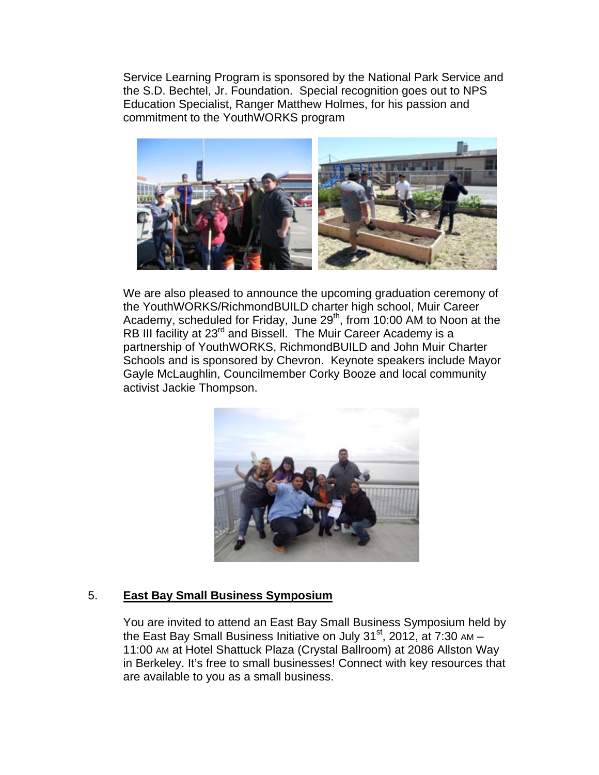Service Learning Program is sponsored by the National Park Service and the S.D. Bechtel, Jr. Foundation. Special recognition goes out to NPS Education Specialist, Ranger Matthew Holmes, for his passion and commitment to the YouthWORKS program



We are also pleased to announce the upcoming graduation ceremony of the YouthWORKS/RichmondBUILD charter high school, Muir Career Academy, scheduled for Friday, June 29<sup>th</sup>, from 10:00 AM to Noon at the RB III facility at 23<sup>rd</sup> and Bissell. The Muir Career Academy is a partnership of YouthWORKS, RichmondBUILD and John Muir Charter Schools and is sponsored by Chevron. Keynote speakers include Mayor Gayle McLaughlin, Councilmember Corky Booze and local community activist Jackie Thompson.



#### 5. **East Bay Small Business Symposium**

You are invited to attend an East Bay Small Business Symposium held by the East Bay Small Business Initiative on July 31<sup>st</sup>, 2012, at 7:30 AM – 11:00 AM at Hotel Shattuck Plaza (Crystal Ballroom) at 2086 Allston Way in Berkeley. It's free to small businesses! Connect with key resources that are available to you as a small business.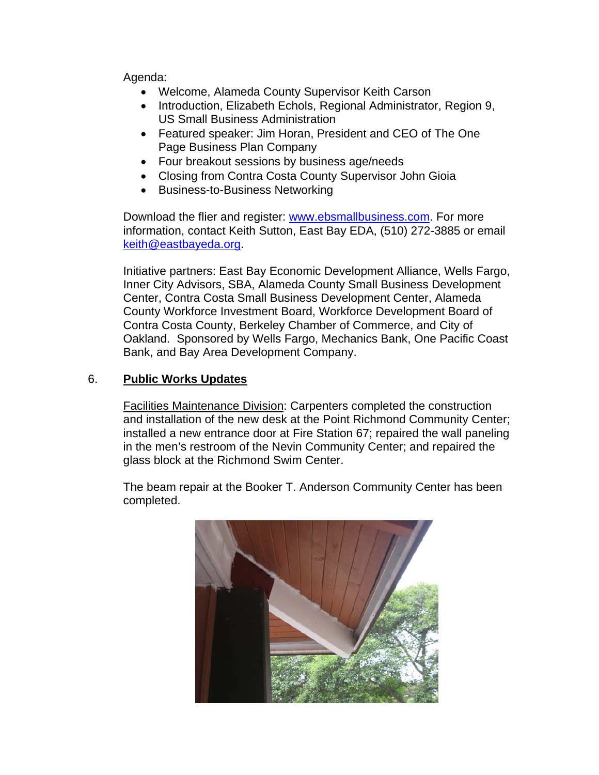Agenda:

- Welcome, Alameda County Supervisor Keith Carson
- Introduction, Elizabeth Echols, Regional Administrator, Region 9, US Small Business Administration
- Featured speaker: Jim Horan, President and CEO of The One Page Business Plan Company
- Four breakout sessions by business age/needs
- Closing from Contra Costa County Supervisor John Gioia
- Business-to-Business Networking

Download the flier and register: www.ebsmallbusiness.com. For more information, contact Keith Sutton, East Bay EDA, (510) 272-3885 or email keith@eastbayeda.org.

Initiative partners: East Bay Economic Development Alliance, Wells Fargo, Inner City Advisors, SBA, Alameda County Small Business Development Center, Contra Costa Small Business Development Center, Alameda County Workforce Investment Board, Workforce Development Board of Contra Costa County, Berkeley Chamber of Commerce, and City of Oakland. Sponsored by Wells Fargo, Mechanics Bank, One Pacific Coast Bank, and Bay Area Development Company.

# 6. **Public Works Updates**

Facilities Maintenance Division: Carpenters completed the construction and installation of the new desk at the Point Richmond Community Center; installed a new entrance door at Fire Station 67; repaired the wall paneling in the men's restroom of the Nevin Community Center; and repaired the glass block at the Richmond Swim Center.

The beam repair at the Booker T. Anderson Community Center has been completed.

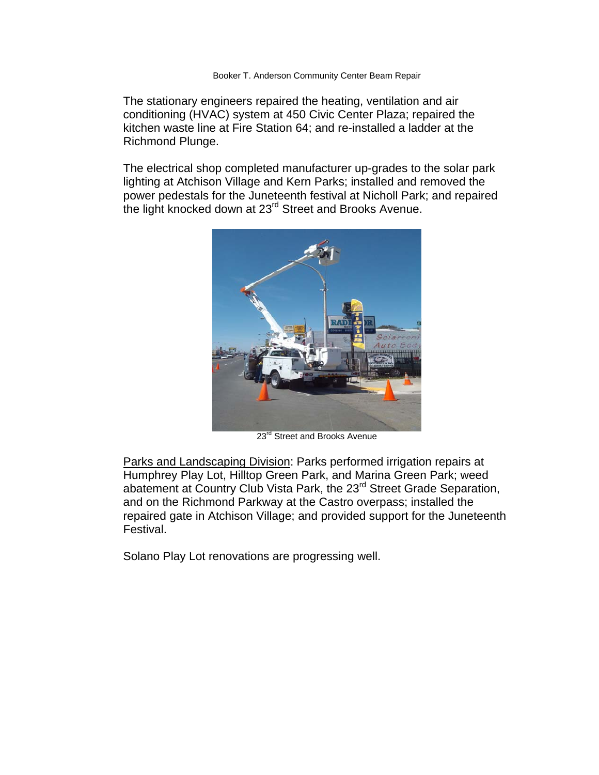The stationary engineers repaired the heating, ventilation and air conditioning (HVAC) system at 450 Civic Center Plaza; repaired the kitchen waste line at Fire Station 64; and re-installed a ladder at the Richmond Plunge.

The electrical shop completed manufacturer up-grades to the solar park lighting at Atchison Village and Kern Parks; installed and removed the power pedestals for the Juneteenth festival at Nicholl Park; and repaired the light knocked down at 23<sup>rd</sup> Street and Brooks Avenue.



23<sup>rd</sup> Street and Brooks Avenue

Parks and Landscaping Division: Parks performed irrigation repairs at Humphrey Play Lot, Hilltop Green Park, and Marina Green Park; weed abatement at Country Club Vista Park, the 23<sup>rd</sup> Street Grade Separation, and on the Richmond Parkway at the Castro overpass; installed the repaired gate in Atchison Village; and provided support for the Juneteenth Festival.

Solano Play Lot renovations are progressing well.